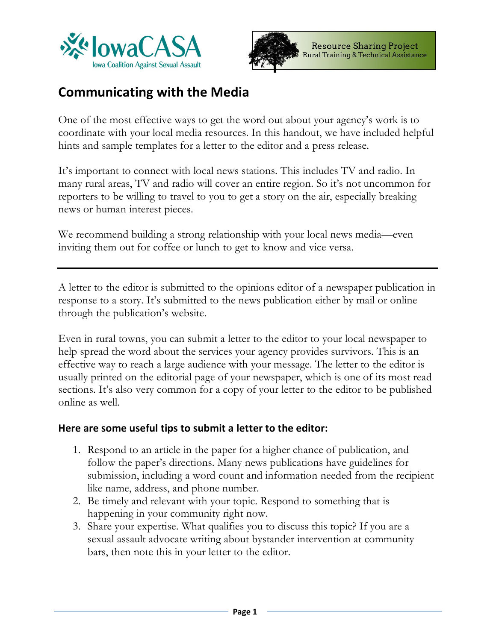



# **Communicating with the Media**

One of the most effective ways to get the word out about your agency's work is to coordinate with your local media resources. In this handout, we have included helpful hints and sample templates for a letter to the editor and a press release.

It's important to connect with local news stations. This includes TV and radio. In many rural areas, TV and radio will cover an entire region. So it's not uncommon for reporters to be willing to travel to you to get a story on the air, especially breaking news or human interest pieces.

We recommend building a strong relationship with your local news media—even inviting them out for coffee or lunch to get to know and vice versa.

A letter to the editor is submitted to the opinions editor of a newspaper publication in response to a story. It's submitted to the news publication either by mail or online through the publication's website.

Even in rural towns, you can submit a letter to the editor to your local newspaper to help spread the word about the services your agency provides survivors. This is an effective way to reach a large audience with your message. The letter to the editor is usually printed on the editorial page of your newspaper, which is one of its most read sections. It's also very common for a copy of your letter to the editor to be published online as well.

#### **Here are some useful tips to submit a letter to the editor:**

- 1. Respond to an article in the paper for a higher chance of publication, and follow the paper's directions. Many news publications have guidelines for submission, including a word count and information needed from the recipient like name, address, and phone number.
- 2. Be timely and relevant with your topic. Respond to something that is happening in your community right now.
- 3. Share your expertise. What qualifies you to discuss this topic? If you are a sexual assault advocate writing about bystander intervention at community bars, then note this in your letter to the editor.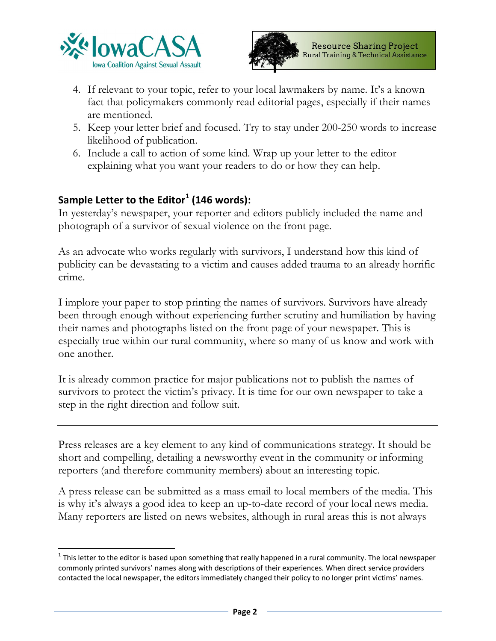



- 4. If relevant to your topic, refer to your local lawmakers by name. It's a known fact that policymakers commonly read editorial pages, especially if their names are mentioned.
- 5. Keep your letter brief and focused. Try to stay under 200-250 words to increase likelihood of publication.
- 6. Include a call to action of some kind. Wrap up your letter to the editor explaining what you want your readers to do or how they can help.

# **Sample Letter to the Editor<sup>1</sup> (146 words):**

In yesterday's newspaper, your reporter and editors publicly included the name and photograph of a survivor of sexual violence on the front page.

As an advocate who works regularly with survivors, I understand how this kind of publicity can be devastating to a victim and causes added trauma to an already horrific crime.

I implore your paper to stop printing the names of survivors. Survivors have already been through enough without experiencing further scrutiny and humiliation by having their names and photographs listed on the front page of your newspaper. This is especially true within our rural community, where so many of us know and work with one another.

It is already common practice for major publications not to publish the names of survivors to protect the victim's privacy. It is time for our own newspaper to take a step in the right direction and follow suit.

Press releases are a key element to any kind of communications strategy. It should be short and compelling, detailing a newsworthy event in the community or informing reporters (and therefore community members) about an interesting topic.

A press release can be submitted as a mass email to local members of the media. This is why it's always a good idea to keep an up-to-date record of your local news media. Many reporters are listed on news websites, although in rural areas this is not always

 $1$  This letter to the editor is based upon something that really happened in a rural community. The local newspaper commonly printed survivors' names along with descriptions of their experiences. When direct service providers contacted the local newspaper, the editors immediately changed their policy to no longer print victims' names.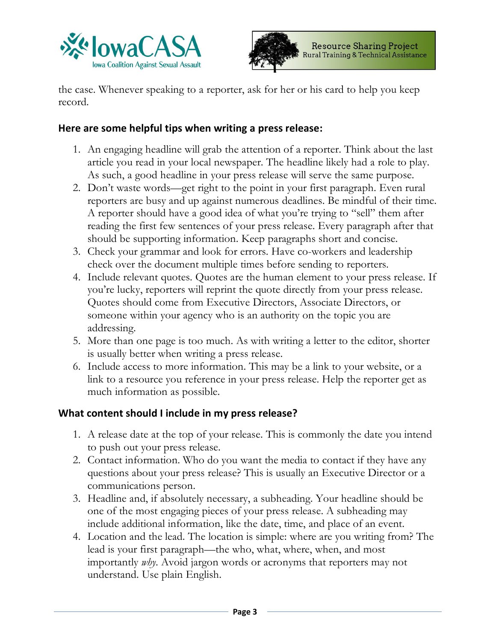



the case. Whenever speaking to a reporter, ask for her or his card to help you keep record.

#### **Here are some helpful tips when writing a press release:**

- 1. An engaging headline will grab the attention of a reporter. Think about the last article you read in your local newspaper. The headline likely had a role to play. As such, a good headline in your press release will serve the same purpose.
- 2. Don't waste words—get right to the point in your first paragraph. Even rural reporters are busy and up against numerous deadlines. Be mindful of their time. A reporter should have a good idea of what you're trying to "sell" them after reading the first few sentences of your press release. Every paragraph after that should be supporting information. Keep paragraphs short and concise.
- 3. Check your grammar and look for errors. Have co-workers and leadership check over the document multiple times before sending to reporters.
- 4. Include relevant quotes. Quotes are the human element to your press release. If you're lucky, reporters will reprint the quote directly from your press release. Quotes should come from Executive Directors, Associate Directors, or someone within your agency who is an authority on the topic you are addressing.
- 5. More than one page is too much. As with writing a letter to the editor, shorter is usually better when writing a press release.
- 6. Include access to more information. This may be a link to your website, or a link to a resource you reference in your press release. Help the reporter get as much information as possible.

## **What content should I include in my press release?**

- 1. A release date at the top of your release. This is commonly the date you intend to push out your press release.
- 2. Contact information. Who do you want the media to contact if they have any questions about your press release? This is usually an Executive Director or a communications person.
- 3. Headline and, if absolutely necessary, a subheading. Your headline should be one of the most engaging pieces of your press release. A subheading may include additional information, like the date, time, and place of an event.
- 4. Location and the lead. The location is simple: where are you writing from? The lead is your first paragraph—the who, what, where, when, and most importantly *why*. Avoid jargon words or acronyms that reporters may not understand. Use plain English.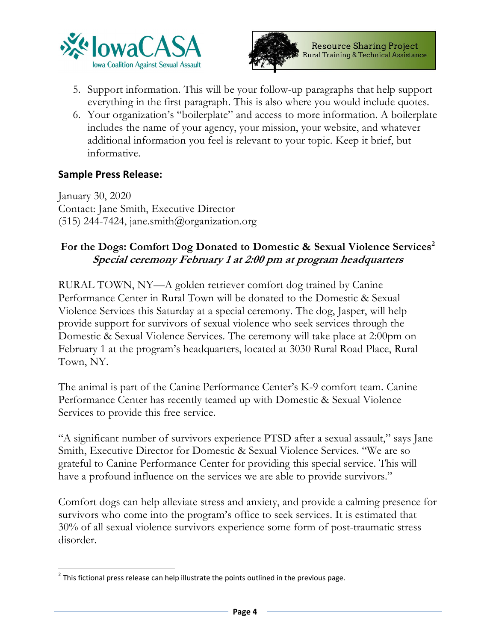



- 5. Support information. This will be your follow-up paragraphs that help support everything in the first paragraph. This is also where you would include quotes.
- 6. Your organization's "boilerplate" and access to more information. A boilerplate includes the name of your agency, your mission, your website, and whatever additional information you feel is relevant to your topic. Keep it brief, but informative.

#### **Sample Press Release:**

January 30, 2020 Contact: Jane Smith, Executive Director  $(515)$  244-7424, jane.smith@organization.org

## For the Dogs: Comfort Dog Donated to Domestic & Sexual Violence Services<sup>2</sup> **Special ceremony February 1 at 2:00 pm at program headquarters**

RURAL TOWN, NY—A golden retriever comfort dog trained by Canine Performance Center in Rural Town will be donated to the Domestic & Sexual Violence Services this Saturday at a special ceremony. The dog, Jasper, will help provide support for survivors of sexual violence who seek services through the Domestic & Sexual Violence Services. The ceremony will take place at 2:00pm on February 1 at the program's headquarters, located at 3030 Rural Road Place, Rural Town, NY.

The animal is part of the Canine Performance Center's K-9 comfort team. Canine Performance Center has recently teamed up with Domestic & Sexual Violence Services to provide this free service.

"A significant number of survivors experience PTSD after a sexual assault," says Jane Smith, Executive Director for Domestic & Sexual Violence Services. "We are so grateful to Canine Performance Center for providing this special service. This will have a profound influence on the services we are able to provide survivors."

Comfort dogs can help alleviate stress and anxiety, and provide a calming presence for survivors who come into the program's office to seek services. It is estimated that 30% of all sexual violence survivors experience some form of post-traumatic stress disorder.

 $2$  This fictional press release can help illustrate the points outlined in the previous page.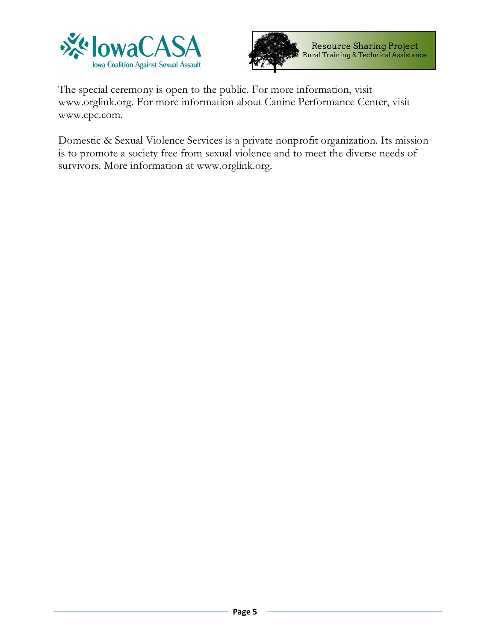



The special ceremony is open to the public. For more information, visit www.orglink.org. For more information about Canine Performance Center, visit www.cpc.com.

Domestic & Sexual Violence Services is a private nonprofit organization. Its mission is to promote a society free from sexual violence and to meet the diverse needs of survivors. More information at www.orglink.org.